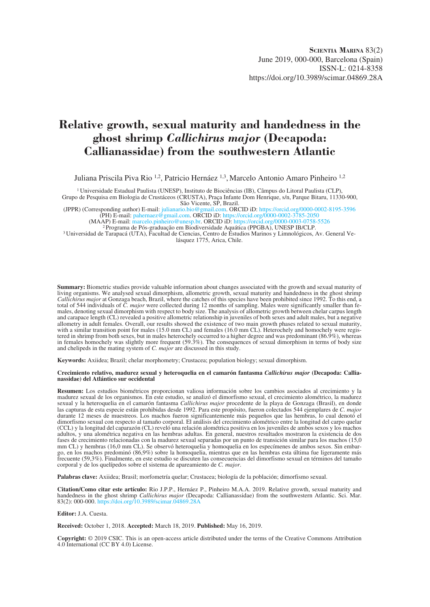# **Relative growth, sexual maturity and handedness in the ghost shrimp** *Callichirus major* **(Decapoda: Callianassidae) from the southwestern Atlantic**

Juliana Priscila Piva Rio 1,2, Patricio Hernáez 1,3, Marcelo Antonio Amaro Pinheiro 1,2

1 Universidade Estadual Paulista (UNESP), Instituto de Biociências (IB), Câmpus do Litoral Paulista (CLP), Grupo de Pesquisa em Biologia de Crustáceos (CRUSTA), Praça Infante Dom Henrique, s/n, Parque Bitaru, 11330-900,

São Vicente, SP, Brazil.<br>(JPPR) (Corresponding author) E-mail: julianario.bio@gmail.com. OR gmail.com. ORCID iD:<https://orcid.org/0000-0002-8195-3596> (PH) E-mail: [pahernaez@gmail.com.](mailto:pahernaez@gmail.com) ORCID iD: <https://orcid.org/0000-0002-3785-2050>

(PH) E-mail: panernaez@gmail.com. ORCID iD: https://orcid.org/0000-0002-5783-2050<br>(MAAP) E-mail: [marcelo.pinheiro@unesp.br.](mailto:marcelo.pinheiro@unesp.br) ORCID iD: <https://orcid.org/0000-0003-0758-5526><br><sup>2</sup> Programa de Pós-graduação em Biodiversidade Aq lásquez 1775, Arica, Chile.

**Summary:** Biometric studies provide valuable information about changes associated with the growth and sexual maturity of living organisms. We analysed sexual dimorphism, allometric growth, sexual maturity and handedness in the ghost shrimp *Callichirus major* at Gonzaga beach, Brazil, where the catches of this species have been prohibited since 1992. To this end, a total of 544 individuals of *C. major* were collected during 12 months of sampling. Males were significantly smaller than females, denoting sexual dimorphism with respect to body size. The analysis of allometric growth between chelar carpus length and carapace length (CL) revealed a positive allometric relationship in juveniles of both sexes and adult males, but a negative allometry in adult females. Overall, our results showed the existence of two main growth phases related to sexual maturity, with a similar transition point for males (15.0 mm CL) and females (16.0 mm CL). Heterochely and homochely were registered in shrimp from both sexes, but in males heterochely occurred to a higher degree and was predominant (86.9%), whereas in females homochely was slightly more frequent  $(59.3\%)$ . The consequences of sexual dimorphism in terms of body size and chelipeds in the mating system of *C. major* are discussed in this study.

**Keywords:** Axiidea; Brazil; chelar morphometry; Crustacea; population biology; sexual dimorphism.

#### **Crecimiento relativo, madurez sexual y heteroquelia en el camarón fantasma** *Callichirus major* **(Decapoda: Callianassidae) del Atlántico sur occidental**

**Resumen:** Los estudios biométricos proporcionan valiosa información sobre los cambios asociados al crecimiento y la madurez sexual de los organismos. En este estudio, se analizó el dimorfismo sexual, el crecimiento alométrico, la madurez sexual y la heteroquelia en el camarón fantasma *Callichirus major* procedente de la playa de Gonzaga (Brasil), en donde las capturas de esta especie están prohibidas desde 1992. Para este propósito, fueron colectados 544 ejemplares de *C. major* durante 12 meses de muestreos. Los machos fueron significantemente más pequeños que las hembras, lo cual denotó el dimorfismo sexual con respecto al tamaño corporal. El análisis del crecimiento alométrico entre la longitud del carpo quelar (CCL) y la longitud del caparazón (CL) reveló una relación alométrica positiva en los juveniles de ambos sexos y los machos adultos, y una alométrica negativa en las hembras adultas. En general, nuestros resultados mostraron la existencia de dos fases de crecimiento relacionadas con la madurez sexual separadas por un punto de transición similar para los machos (15,0 mm CL) y hembras (16,0 mm CL). Se observó heteroquelia y homoquelia en los especímenes de ambos sexos. Sin embargo, en los machos predominó (86,9%) sobre la homoquelia, mientras que en las hembras esta última fue ligeramente más frecuente (59,3%). Finalmente, en este estudio se discuten las consecuencias del dimorfismo sexual en términos del tamaño corporal y de los quelípedos sobre el sistema de apareamiento de *C. major*.

**Palabras clave:** Axiidea; Brasil; morfometría quelar; Crustacea; biología de la población; dimorfismo sexual.

**Citation/Como citar este artículo:** Rio J.P.P., Hernáez P., Pinheiro M.A.A. 2019. Relative growth, sexual maturity and handedness in the ghost shrimp *Callichirus major* (Decapoda: Callianassidae) from the southwestern Atlantic. Sci. Mar. 83(2): 000-000. <https://doi.org/10.3989/scimar.04869.28A>

#### **Editor:** J.A. Cuesta.

**Received:** October 1, 2018. **Accepted:** March 18, 2019. **Published:** May 16, 2019.

**Copyright:** © 2019 CSIC. This is an open-access article distributed under the terms of the Creative Commons Attribution 4.0 International (CC BY 4.0) License.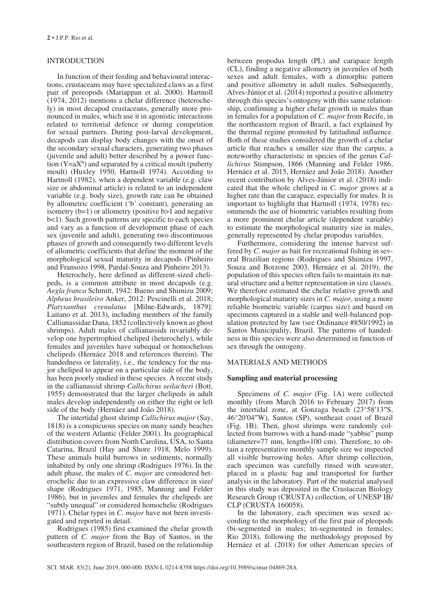## INTRODUCTION

In function of their feeding and behavioural interactions, crustaceans may have specialized claws as a first pair of pereopods (Mariappan et al. 2000). Hartnoll (1974, 2012) mentions a chelar difference (heterochely) in most decapod crustaceans, generally more pronounced in males, which use it in agonistic interactions related to territorial defence or during competition for sexual partners. During post-larval development, decapods can display body changes with the onset of the secondary sexual characters, generating two phases (juvenile and adult) better described by a power function  $(Y=aX^b)$  and separated by a critical moult (puberty moult) (Huxley 1950, Hartnoll 1974). According to Hartnoll (1982), when a dependent variable (e.g. claw size or abdominal article) is related to an independent variable (e.g. body size), growth rate can be obtained by allometric coefficient ('b' constant), generating an isometry (b=1) or allometry (positive b>1 and negative b<1). Such growth patterns are specific to each species and vary as a function of development phase of each sex (juvenile and adult), generating two discontinuous phases of growth and consequently two different levels of allometric coefficients that define the moment of the morphological sexual maturity in decapods (Pinheiro and Fransozo 1998, Pardal-Souza and Pinheiro 2013).

Heterochely, here defined as different-sized chelipeds, is a common attribute in most decapods (e.g. *Aegla franca* Schmitt, 1942: Bueno and Shimizu 2009; *Alpheus brasileiro* Anker, 2012: Pescinelli et al. 2018; *Platyxanthus crenulatus* [Milne-Edwards, 1879]: Laitano et al. 2013), including members of the family Callianassidae Dana, 1852 (collectively known as ghost shrimps). Adult males of callianassids invariably develop one hypertrophied cheliped (heterochely), while females and juveniles have subequal or homochelous chelipeds (Hernáez 2018 and references therein). The handedness or laterality, i.e., the tendency for the major cheliped to appear on a particular side of the body, has been poorly studied in these species. A recent study in the callianassid shrimp *Callichirus seilacheri* (Bott, 1955) demonstrated that the larger chelipeds in adult males develop independently on either the right or left side of the body (Hernáez and João 2018).

The intertidal ghost shrimp *Callichirus major* (Say, 1818) is a conspicuous species on many sandy beaches of the western Atlantic (Felder 2001). Its geographical distribution covers from North Carolina, USA, to Santa Catarina, Brazil (Hay and Shore 1918, Melo 1999). These animals build burrows in sediments, normally inhabited by only one shrimp (Rodrigues 1976). In the adult phase, the males of *C. major* are considered heterochelic due to an expressive claw difference in size/ shape (Rodrigues 1971, 1985, Manning and Felder 1986), but in juveniles and females the chelipeds are "subtly unequal" or considered homochelic (Rodrigues 1971). Chelar types in *C. major* have not been investigated and reported in detail.

Rodrigues (1985) first examined the chelar growth pattern of *C. major* from the Bay of Santos, in the southeastern region of Brazil, based on the relationship between propodus length (PL) and carapace length (CL), finding a negative allometry in juveniles of both sexes and adult females, with a dimorphic pattern and positive allometry in adult males. Subsequently, Alves-Júnior et al. (2014) reported a positive allometry through this species's ontogeny with this same relationship, confirming a higher chelar growth in males than in females for a population of *C. major* from Recife, in the northeastern region of Brazil, a fact explained by the thermal regime promoted by latitudinal influence. Both of these studies considered the growth of a chelar article that reaches a smaller size than the carpus, a noteworthy characteristic in species of the genus *Callichirus* Stimpson, 1866 (Manning and Felder 1986, Hernáez et al. 2015, Hernáez and João 2018). Another recent contribution by Alves-Júnior et al. (2018) indicated that the whole cheliped in *C. major* grows at a higher rate than the carapace, especially for males. It is important to highlight that Hartnoll (1974, 1978) recommends the use of biometric variables resulting from a more prominent chelar article (dependent variable) to estimate the morphological maturity size in males, generally represented by chelar propodus variables.

Furthermore, considering the intense harvest suffered by *C. major* as bait for recreational fishing in several Brazilian regions (Rodrigues and Shimizu 1997, Souza and Borzone 2003, Hernáez et al. 2019), the population of this species often fails to maintain its natural structure and a better representation in size classes. We therefore estimated the chelar relative growth and morphological maturity sizes in *C. major*, using a more reliable biometric variable (carpus size) and based on specimens captured in a stable and well-balanced population protected by law (see Ordinance #850/1992) in Santos Municipality, Brazil. The patterns of handedness in this species were also determined in function of sex through the ontogeny.

# MATERIALS AND METHODS

#### **Sampling and material processing**

Specimens of *C. major* (Fig. 1A) were collected monthly (from March 2016 to February 2017) from the intertidal zone, at Gonzaga beach (23°58′13″S, 46°20′04″W), Santos (SP), southeast coast of Brazil (Fig. 1B). Then, ghost shrimps were randomly collected from burrows with a hand-made "yabbie" pump (diameter=77 mm, length=100 cm). Therefore, to obtain a representative monthly sample size we inspected all visible burrowing holes. After shrimp collection, each specimen was carefully rinsed with seawater, placed in a plastic bag and transported for further analysis in the laboratory. Part of the material analysed in this study was deposited in the Crustacean Biology Research Group (CRUSTA) collection, of UNESP IB/ CLP (CRUSTA 160058).

In the laboratory, each specimen was sexed according to the morphology of the first pair of pleopods (bi-segmented in males; tri-segmented in females; Rio 2018), following the methodology proposed by Hernáez et al. (2018) for other American species of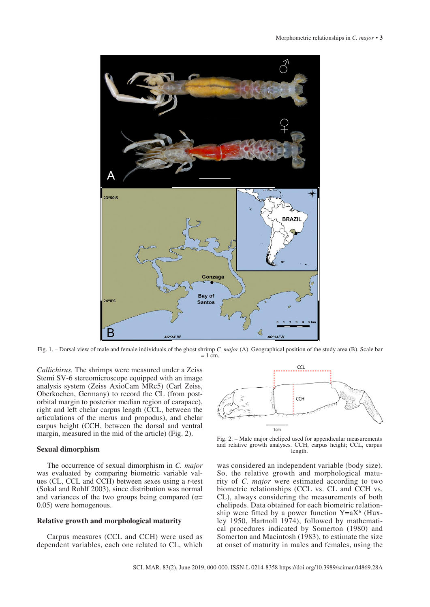

Fig. 1. – Dorsal view of male and female individuals of the ghost shrimp *C. major* (A). Geographical position of the study area (B). Scale bar  $= 1$  cm.

*Callichirus.* The shrimps were measured under a Zeiss Stemi SV-6 stereomicroscope equipped with an image analysis system (Zeiss AxioCam MRc5) (Carl Zeiss, Oberkochen, Germany) to record the CL (from postorbital margin to posterior median region of carapace), right and left chelar carpus length (CCL, between the articulations of the merus and propodus), and chelar carpus height (CCH, between the dorsal and ventral margin, measured in the mid of the article) (Fig. 2).

# **Sexual dimorphism**

The occurrence of sexual dimorphism in *C. major* was evaluated by comparing biometric variable values (CL, CCL and CCH) between sexes using a *t*-test (Sokal and Rohlf 2003), since distribution was normal and variances of the two groups being compared ( $\alpha$ = 0.05) were homogenous.

## **Relative growth and morphological maturity**

Carpus measures (CCL and CCH) were used as dependent variables, each one related to CL, which



Fig. 2. – Male major cheliped used for appendicular measurements and relative growth analyses. CCH, carpus height; CCL, carpus length.

was considered an independent variable (body size). So, the relative growth and morphological maturity of *C. major* were estimated according to two biometric relationships (CCL vs. CL and CCH vs. CL), always considering the measurements of both chelipeds. Data obtained for each biometric relationship were fitted by a power function  $Y=aX^b$  (Huxley 1950, Hartnoll 1974), followed by mathematical procedures indicated by Somerton (1980) and Somerton and Macintosh (1983), to estimate the size at onset of maturity in males and females, using the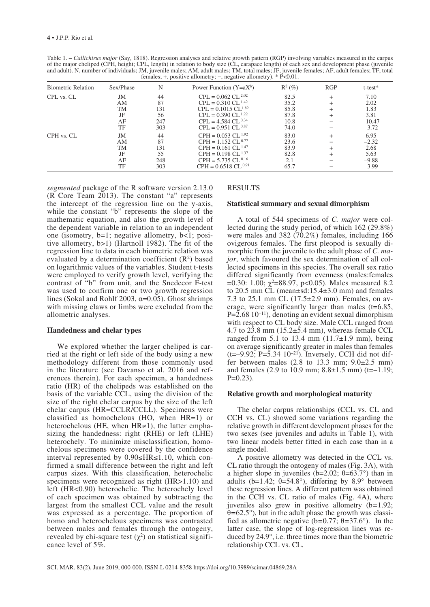Table 1. – *Callichirus major* (Say, 1818). Regression analyses and relative growth pattern (RGP) involving variables measured in the carpus of the major cheliped (CPH, height; CPL, length) in relation to body size (CL, carapace length) of each sex and development phase (juvenile and adult). N, number of individuals; JM, juvenile males; AM, adult males; TM, total males; JF, juvenile females; AF, adult females; TF, total females; +, positive allometry; −, negative allometry). \* P<0.01.

| <b>Biometric Relation</b> | Sex/Phase | N   | Power Function $(Y=aX^b)$        | $\mathbb{R}^2$ (%) | RGP       | $t$ -test $*$ |
|---------------------------|-----------|-----|----------------------------------|--------------------|-----------|---------------|
| CPL vs. CL                | JM        | 44  | $CPL = 0.062 CL^{2.02}$          | 82.5               | $\ddot{}$ | 7.10          |
|                           | AΜ        | 87  | $CPL = 0.310 CL^{1.42}$          | 35.2               | $\ddot{}$ | 2.02          |
|                           | <b>TM</b> | 131 | $CPL = 0.1015 CL^{1.82}$         | 85.8               |           | 1.83          |
|                           | JF        | 56  | $CPL = 0.390 CL$ <sup>1.22</sup> | 87.8               | $^{+}$    | 3.81          |
|                           | AF        | 247 | $CPL = 4.584 CL^{0.34}$          | 10.8               |           | $-10.47$      |
|                           | TF        | 303 | $CPL = 0.951 CL$ 0.87            | 74.0               |           | $-3.72$       |
| CPH vs. CL                | JM        | 44  | $CPH = 0.053 CL^{1.92}$          | 83.0               | $^{+}$    | 6.95          |
|                           | AΜ        | 87  | $CPH = 1.152 CL^{0.77}$          | 23.6               |           | $-2.32$       |
|                           | <b>TM</b> | 131 | $CPH = 0.161 CL$ <sup>1.47</sup> | 83.9               | $^{+}$    | 2.68          |
|                           | JF        | 55  | $CPH = 0.198 CL$ <sup>1.37</sup> | 82.8               | $\ddot{}$ | 5.63          |
|                           | AF        | 248 | $CPH = 5.735 CL^{0.16}$          | 2.1                |           | $-9.88$       |
|                           | TF        | 303 | $CPH = 0.6518 CL^{0.91}$         | 65.7               |           | $-3.99$       |

*segmented* package of the R software version 2.13.0 (R Core Team 2013). The constant "a" represents the intercept of the regression line on the y-axis, while the constant "b" represents the slope of the mathematic equation, and also the growth level of the dependent variable in relation to an independent one (isometry, b=1; negative allometry, b<1; positive allometry, b>1) (Hartnoll 1982). The fit of the regression line to data in each biometric relation was evaluated by a determination coefficient  $(R^2)$  based on logarithmic values of the variables. Student t-tests were employed to verify growth level, verifying the contrast of "b" from unit, and the Snedecor F-test was used to confirm one or two growth regression lines (Sokal and Rohlf 2003,  $\alpha$ =0.05). Ghost shrimps with missing claws or limbs were excluded from the allometric analyses.

#### **Handedness and chelar types**

We explored whether the larger cheliped is carried at the right or left side of the body using a new methodology different from those commonly used in the literature (see Davanso et al. 2016 and references therein). For each specimen, a handedness ratio (HR) of the chelipeds was established on the basis of the variable CCL, using the division of the size of the right chelar carpus by the size of the left chelar carpus (HR=CCLR/CCLL). Specimens were classified as homochelous (HO, when HR=1) or heterochelous (HE, when  $HR \neq 1$ ), the latter emphasizing the handedness: right (RHE) or left (LHE) heterochely. To minimize misclassification, homochelous specimens were covered by the confidence interval represented by 0.90≤HR≤1.10, which confirmed a small difference between the right and left carpus sizes. With this classification, heterochelic specimens were recognized as right (HR>1.10) and left (HR<0.90) heterochelic. The heterochely level of each specimen was obtained by subtracting the largest from the smallest CCL value and the result was expressed as a percentage. The proportion of homo and heterochelous specimens was contrasted between males and females through the ontogeny, revealed by chi-square test  $(χ²)$  on statistical significance level of 5%.

## RESULTS

## **Statistical summary and sexual dimorphism**

A total of 544 specimens of *C. major* were collected during the study period, of which 162 (29.8%) were males and 382 (70.2%) females, including 166 ovigerous females. The first pleopod is sexually dimorphic from the juvenile to the adult phase of *C. major*, which favoured the sex determination of all collected specimens in this species. The overall sex ratio differed significantly from evenness (males:females =0.30: 1.00;  $\chi^2$ =88.97, p<0.05). Males measured 8.2 to 20.5 mm CL (mean±sd:15.4±3.0 mm) and females 7.3 to 25.1 mm CL (17.5±2.9 mm). Females, on average, were significantly larger than males  $(t=6.85,$  $P=2.68\ 10^{-11}$ , denoting an evident sexual dimorphism with respect to CL body size. Male CCL ranged from 4.7 to 23.8 mm  $(15.2\pm5.4 \text{ mm})$ , whereas female CCL ranged from 5.1 to 13.4 mm  $(11.7\pm1.9 \text{ mm})$ , being on average significantly greater in males than females  $(t=-9.92; P=\overline{5.34} 10^{-21})$ . Inversely, CCH did not differ between males  $(2.8 \text{ to } 13.3 \text{ mm}; 9.0\pm2.5 \text{ mm})$ and females (2.9 to 10.9 mm;  $8.8 \pm 1.5$  mm) (t=-1.19;  $P=0.23$ ).

#### **Relative growth and morphological maturity**

The chelar carpus relationships (CCL vs. CL and CCH vs. CL) showed some variations regarding the relative growth in different development phases for the two sexes (see juveniles and adults in Table 1), with two linear models better fitted in each case than in a single model.

A positive allometry was detected in the CCL vs. CL ratio through the ontogeny of males (Fig. 3A), with a higher slope in juveniles (b=2.02; θ=63.7°) than in adults (b=1.42;  $\theta$ =54.8°), differing by 8.9° between these regression lines. A different pattern was obtained in the CCH vs. CL ratio of males (Fig. 4A), where juveniles also grew in positive allometry (b*=*1.92; θ*=*62.5°), but in the adult phase the growth was classified as allometric negative (b*=*0.77; θ*=*37.6°). In the latter case, the slope of log-regression lines was reduced by 24.9°, i.e. three times more than the biometric relationship CCL vs. CL.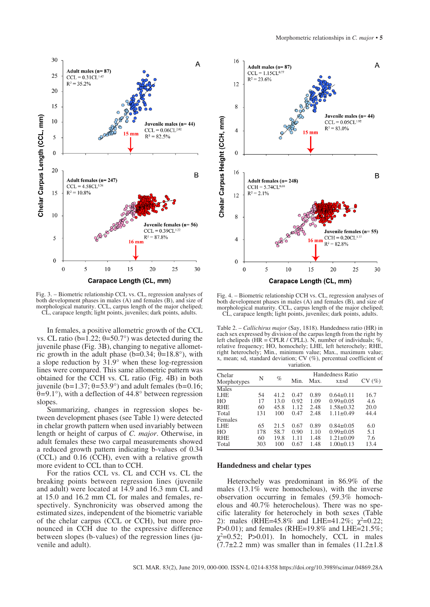

Fig. 3. – Biometric relationship CCL vs. CL, regression analyses of both development phases in males (A) and females (B), and size of morphological maturity. CCL, carpus length of the major cheliped; CL, carapace length; light points, juveniles; dark points, adults.

In females, a positive allometric growth of the CCL vs. CL ratio (b=1.22; θ=50.7°) was detected during the juvenile phase (Fig. 3B), changing to negative allometric growth in the adult phase (b=0.34;  $\theta$ =18.8°), with a slope reduction by 31.9° when these log-regression lines were compared. This same allometric pattern was obtained for the CCH vs. CL ratio (Fig. 4B) in both juvenile (b*=*1.37; θ*=*53.9°) and adult females (b*=*0.16; θ*=*9.1°), with a deflection of 44.8° between regression slopes.

Summarizing, changes in regression slopes between development phases (see Table 1) were detected in chelar growth pattern when used invariably between length or height of carpus of *C. major*. Otherwise, in adult females these two carpal measurements showed a reduced growth pattern indicating b-values of 0.34 (CCL) and 0.16 (CCH), even with a relative growth more evident to CCL than to CCH.

For the ratios CCL vs. CL and CCH vs. CL the breaking points between regression lines (juvenile and adult) were located at 14.9 and 16.3 mm CL and at 15.0 and 16.2 mm CL for males and females, respectively. Synchronicity was observed among the estimated sizes, independent of the biometric variable of the chelar carpus (CCL or CCH), but more pronounced in CCH due to the expressive difference between slopes (b-values) of the regression lines (juvenile and adult).



Fig. 4. – Biometric relationship CCH vs. CL, regression analyses of both development phases in males (A) and females (B), and size of morphological maturity. CCL, carpus length of the major cheliped; CL, carapace length; light points, juveniles; dark points, adults.

Table 2. – *Callichirus major* (Say, 1818). Handedness ratio (HR) in each sex expressed by division of the carpus length from the right by left chelipeds (HR = CPLR / CPLL). N, number of individuals; % relative frequency; HO, homochely; LHE, left heterochely; RHE, right heterochely; Min., minimum value; Max., maximum value; x, mean; sd, standard deviation; CV (%), percentual coefficient of variation.

| Chelar<br>Morphotypes | N   | $\%$ | Min. | Handedness Ratio<br>Max. | CV(%)           |      |
|-----------------------|-----|------|------|--------------------------|-----------------|------|
| Males                 |     |      |      |                          |                 |      |
| <b>LHE</b>            | 54  | 41.2 | 0.47 | 0.89                     | $0.64 \pm 0.11$ | 16.7 |
| HO                    | 17  | 13.0 | 0.92 | 1.09                     | $0.99 \pm 0.05$ | 4.6  |
| <b>RHE</b>            | 60  | 45.8 | 1.12 | 2.48                     | $1.58 \pm 0.32$ | 20.0 |
| Total                 | 131 | 100  | 0.47 | 2.48                     | $1.11 \pm 0.49$ | 44.4 |
| Females               |     |      |      |                          |                 |      |
| LHE                   | 65  | 21.5 | 0.67 | 0.89                     | $0.84 \pm 0.05$ | 6.0  |
| HO                    | 178 | 58.7 | 0.90 | 1.10                     | $0.99 \pm 0.05$ | 5.1  |
| RHE                   | 60  | 19.8 | 1.11 | 1.48                     | $1.21 \pm 0.09$ | 7.6  |
| Total                 | 303 | 100  | 0.67 | 1.48                     | $1.00 \pm 0.13$ | 13.4 |
|                       |     |      |      |                          |                 |      |

#### **Handedness and chelar types**

Heterochely was predominant in 86.9% of the males (13.1% were homochelous), with the inverse observation occurring in females (59.3% homochelous and 40.7% heterochelous). There was no specific laterality for heterochely in both sexes (Table 2): males (RHE=45.8% and LHE=41.2%;  $\gamma^2$ =0.22; P>0.01); and females (RHE=19.8% and LHE=21.5%;  $\chi^2$ =0.52; P>0.01). In homochely, CCL in males  $(7.7\pm2.2 \text{ mm})$  was smaller than in females  $(11.2\pm1.8 \text{ m})$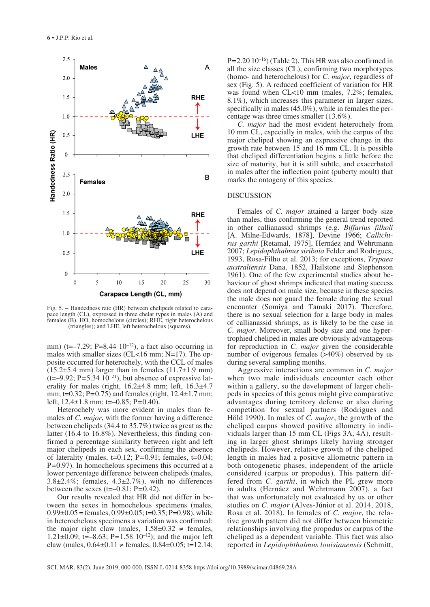

Fig. 5. – Handedness rate (HR) between chelipeds related to carapace length (CL), expressed in three chelar types in males (A) and females (B). HO, homochelous (circles); RHE, right heterochelous (triangles); and LHE, left heterochelous (squares).

mm) (t=–7.29; P=8.44  $10^{-12}$ ), a fact also occurring in males with smaller sizes (CL<16 mm; N=17). The opposite occurred for heterochely, with the CCL of males  $(15.2\pm5.4 \text{ mm})$  larger than in females  $(11.7\pm1.9 \text{ mm})$  $(t=-9.92; P=5.34 \ 10^{-21})$ , but absence of expressive laterality for males (right,  $16.2\pm4.8$  mm; left,  $16.3\pm4.7$ mm; t=0.32; P*=*0.75) and females (right, 12.4±1.7 mm; left, 12.4±1.8 mm; t=–0.85; P*=*0.40).

Heterochely was more evident in males than females of *C. major*, with the former having a difference between chelipeds (34.4 to 35.7%) twice as great as the latter (16.4 to 16.8%). Nevertheless, this finding confirmed a percentage similarity between right and left major chelipeds in each sex, confirming the absence of laterality (males, t=0.12; P*=*0.91; females, t=0.04; P*=*0.97). In homochelous specimens this occurred at a lower percentage difference between chelipeds (males, 3.8 $\pm$ 2.4%; females, 4.3 $\pm$ 2.7%), with no differences between the sexes (t=–0.81; P*=*0.42).

Our results revealed that HR did not differ in between the sexes in homochelous specimens (males,  $0.99\pm0.05$  = females,  $0.99\pm0.05$ ; t=0.35; P=0.98), while in heterochelous specimens a variation was confirmed: the major right claw (males,  $1.58 \pm 0.32 \neq$  females, 1.21 $\pm$ 0.09; t=–8.63; P=1.58 10<sup>-12</sup>); and the major left claw (males,  $0.64\pm0.11 \neq$  females,  $0.84\pm0.05$ ; t=12.14; P*=*2.20 10–16) (Table 2). This HR was also confirmed in all the size classes (CL), confirming two morphotypes (homo- and heterochelous) for *C. major*, regardless of sex (Fig. 5). A reduced coefficient of variation for HR was found when CL<10 mm (males, 7.2%; females, 8.1%), which increases this parameter in larger sizes, specifically in males (45.0%), while in females the percentage was three times smaller (13.6%).

*C. major* had the most evident heterochely from 10 mm CL, especially in males, with the carpus of the major cheliped showing an expressive change in the growth rate between 15 and 16 mm CL. It is possible that cheliped differentiation begins a little before the size of maturity, but it is still subtle, and exacerbated in males after the inflection point (puberty moult) that marks the ontogeny of this species.

#### DISCUSSION

Females of *C. major* attained a larger body size than males, thus confirming the general trend reported in other callianassid shrimps (e.g. *Biffarius filholi* [A. Milne-Edwards, 1878], Devine 1966; *Callichirus garthi* [Retamal, 1975], Hernáez and Wehrtmann 2007; *Lepidophthalmus siriboia* Felder and Rodrigues, 1993, Rosa-Filho et al. 2013; for exceptions, *Trypaea australiensis* Dana, 1852, Hailstone and Stephenson 1961). One of the few experimental studies about behaviour of ghost shrimps indicated that mating success does not depend on male size, because in these species the male does not guard the female during the sexual encounter (Somiya and Tamaki 2017). Therefore, there is no sexual selection for a large body in males of callianassid shrimps, as is likely to be the case in *C. major*. Moreover, small body size and one hypertrophied cheliped in males are obviously advantageous for reproduction in *C. major* given the considerable number of ovigerous females (>40%) observed by us during several sampling months.

Aggressive interactions are common in *C. major* when two male individuals encounter each other within a gallery, so the development of larger chelipeds in species of this genus might give comparative advantages during territory defense or also during competition for sexual partners (Rodrigues and Höld 1990). In males of *C. major*, the growth of the cheliped carpus showed positive allometry in individuals larger than 15 mm CL (Figs 3A, 4A), resulting in larger ghost shrimps likely having stronger chelipeds. However, relative growth of the cheliped length in males had a positive allometric pattern in both ontogenetic phases, independent of the article considered (carpus or propodus). This pattern differed from *C. garthi*, in which the PL grew more in adults (Hernáez and Wehrtmann 2007), a fact that was unfortunately not evaluated by us or other studies on *C. major* (Alves-Júnior et al. 2014, 2018, Rosa et al. 2018). In females of *C. major*, the relative growth pattern did not differ between biometric relationships involving the propodus or carpus of the cheliped as a dependent variable. This fact was also reported in *Lepidophthalmus louisianensis* (Schmitt,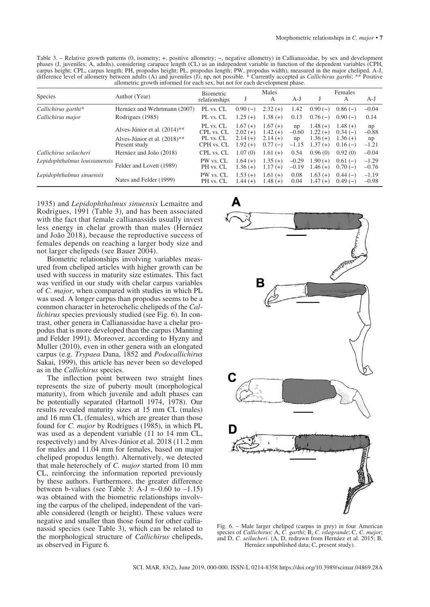Table 3. – Relative growth patterns (0, isometry; +, positive allometry; −, negative allometry) in Callianassidae, by sex and development phases (J, juveniles; A, adults), considering carapace length (CL) as an independent variable in function of the dependent variables (CPH, carpus height; CPL, carpus length; PH, propodus height; PL, propodus length; PW, propodus width), measured in the major cheliped. A-J, difference level of allometry between adults (A) and juveniles (J); np, not possible. \* Currently accepted as *Callichirus garthi*; \*\* Positive allometric growth informed for each sex, but not for each development phase.

| <b>Species</b>                | Author (Year)                                                | <b>Biometric</b><br>relationships    |                                     | Males<br>А                          | A-J                 |                                      | Females<br>А                        | $A-J$               |
|-------------------------------|--------------------------------------------------------------|--------------------------------------|-------------------------------------|-------------------------------------|---------------------|--------------------------------------|-------------------------------------|---------------------|
| Callichirus garthi*           | Hernáez and Wehrtmann (2007)                                 | PL vs. CL                            | $0.90(-)$                           | $2.32(+)$                           | 1.42                | $0.90(-)$                            | $0.86(-)$                           | $-0.04$             |
| Callichirus major             | Rodrigues (1985)                                             | PL vs. CL                            | $1.25(+)$                           | $1.38(+)$                           | 0.13                | $0.76(-)$                            | $0.90(-)$                           | 0.14                |
|                               | Alves-Júnior et al. (2014)**<br>Alves-Júnior et al. (2018)** | PL vs. CL<br>CPL vs. CL<br>PL vs. CL | $1.67(+)$<br>$2.02(+)$<br>$2.14(+)$ | $1.67(+)$<br>$1.42(+)$<br>$2.14(+)$ | np<br>$-0.60$<br>np | $1.48(+)$<br>$1.22(f+)$<br>$1.36(+)$ | $1.48(+)$<br>$0.34(-)$<br>$1.36(+)$ | np<br>$-0.88$<br>np |
|                               | Present study                                                | CPH vs. CL                           | $1.92(+)$                           | $0.77(-)$                           | $-1.15$             | $1.37(+)$                            | $0.16(-)$                           | $-1.21$             |
| Callichirus seilacheri        | Hernáez and João (2018)                                      | CPL vs. CL                           | 1.07(0)                             | $1.61 (+)$                          | 0.54                | 0.96(0)                              | 0.92(0)                             | $-0.04$             |
| Lepidophthalmus louisianensis | Felder and Lovett (1989)                                     | PW vs. CL<br>PH vs. CL               | $1.64(+)$<br>$1.36(+)$              | $1.35(+)$<br>$1.17(+)$              | $-0.29$<br>$-0.19$  | $1.90(+)$<br>$1.46(+)$               | $0.61(-)$<br>$0.70(-)$              | $-1.29$<br>$-0.76$  |
| Lepidophthalmus sinuensis     | Nates and Felder (1999)                                      | PW vs. CL<br>PH vs. CL               | $1.53(+)$<br>$1.44(+)$              | $1.61 (+)$<br>$1.48(+)$             | 0.08<br>0.04        | $1.63 (+)$<br>$1.47(+)$              | $0.44(-)$<br>$0.49(-)$              | $-1.19$<br>$-0.98$  |

1935) and *Lepidophthalmus sinuensis* Lemaitre and Rodrigues, 1991 (Table 3), and has been associated with the fact that female callianassids usually invest less energy in chelar growth than males (Hernáez and João 2018), because the reproductive success of females depends on reaching a larger body size and not larger chelipeds (see Bauer 2004).

Biometric relationships involving variables measured from cheliped articles with higher growth can be used with success in maturity size estimates. This fact was verified in our study with chelar carpus variables of *C. major*, when compared with studies in which PL was used. A longer carpus than propodus seems to be a common character in heterochelic chelipeds of the *Callichirus* species previously studied (see Fig. 6). In contrast, other genera in Callianassidae have a chelar propodus that is more developed than the carpus (Manning and Felder 1991). Moreover, according to Hyzny and Muller (2010), even in other genera with an elongated carpus (e.g. *Trypaea* Dana, 1852 and *Podocallichirus*  Sakai, 1999), this article has never been so developed as in the *Callichirus* species.

The inflection point between two straight lines represents the size of puberty moult (morphological maturity), from which juvenile and adult phases can be potentially separated (Hartnoll 1974, 1978). Our results revealed maturity sizes at 15 mm CL (males) and 16 mm CL (females), which are greater than those found for *C. major* by Rodrigues (1985), in which PL was used as a dependent variable (11 to 14 mm CL, respectively) and by Alves-Júnior et al. 2018 (11.2 mm for males and 11.04 mm for females, based on major cheliped propodus length). Alternatively, we detected that male heterochely of *C. major* started from 10 mm CL, reinforcing the information reported previously by these authors. Furthermore, the greater difference between b-values (see Table 3: A-J =–0.60 to  $-1.15$ ) was obtained with the biometric relationships involving the carpus of the cheliped, independent of the variable considered (length or height). These values were negative and smaller than those found for other callianassid species (see Table 3), which can be related to the morphological structure of *Callichirus* chelipeds, as observed in Figure 6.



Fig. 6. – Male larger cheliped (carpus in grey) in four American species of *Callichirus*: A, *C. garthi*; B, *C. islagrande*; C, *C. major*; and D, *C. seilacheri*. (A, D, redrawn from Hernáez et al. 2015; B, Hernáez unpublished data; C, present study).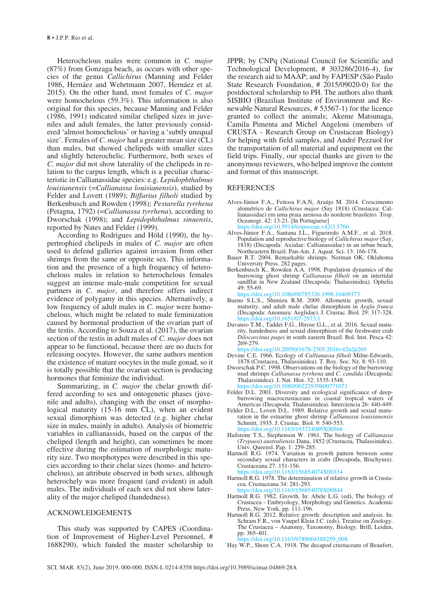Heterochelous males were common in *C. major* (87%) from Gonzaga beach, as occurs with other species of the genus *Callichirus* (Manning and Felder 1986, Hernáez and Wehrtmann 2007, Hernáez et al. 2015). On the other hand, most females of *C. major* were homochelous (59.3%). This information is also original for this species, because Manning and Felder (1986, 1991) indicated similar cheliped sizes in juveniles and adult females, the latter previously considered 'almost homochelous' or having a 'subtly unequal size'. Females of *C. major* had a greater mean size (CL) than males, but showed chelipeds with smaller sizes and slightly heterochelic. Furthermore, both sexes of *C. major* did not show laterality of the chelipeds in relation to the carpus length, which is a peculiar characteristic in Callianassidae species: e.g. *Lepidophthalmus louisianensis* (=*Callianassa louisianensis*), studied by Felder and Lovett (1989); *Biffarius filholi* studied by Berkenbusch and Rowden (1998); *Pestarella tyrrhena*  (Petagna, 1792) (=*Callianassa tyrrhena*), according to Dworschak (1998); and *Lepidophthalmus sinuensis*, reported by Nates and Felder (1999).

According to Rodrigues and Höld (1990), the hypertrophied chelipeds in males of *C. major* are often used to defend galleries against invasion from other shrimps from the same or opposite sex. This information and the presence of a high frequency of heterochelous males in relation to heterochelous females suggest an intense male-male competition for sexual partners in *C. major*, and therefore offers indirect evidence of polygamy in this species. Alternatively, a low frequency of adult males in *C. major* were homochelous, which might be related to male feminization caused by hormonal production of the ovarian part of the testis. According to Souza et al. (2017), the ovarian section of the testis in adult males of *C. major* does not appear to be functional, because there are no ducts for releasing oocytes. However, the same authors mention the existence of mature oocytes in the male gonad, so it is totally possible that the ovarian section is producing hormones that feminize the individual.

Summarizing, in *C. major* the chelar growth differed according to sex and ontogenetic phases (juvenile and adults), changing with the onset of morphological maturity (15-16 mm CL), when an evident sexual dimorphism was detected (e.g. higher chelar size in males, mainly in adults). Analysis of biometric variables in callianassids, based on the carpus of the cheliped (length and height), can sometimes be more effective during the estimation of morphologic maturity size. Two morphotypes were described in this species according to their chelar sizes (homo- and heterochelous), an attribute observed in both sexes, although heterochely was more frequent (and evident) in adult males. The individuals of each sex did not show laterality of the major cheliped (handedness).

#### ACKNOWLEDGEMENTS

This study was supported by CAPES (Coordination of Improvement of Higher-Level Personnel, # 1688290), which funded the master scholarship to JPPR; by CNPq (National Council for Scientific and Technological Development, # 303286/2016-4), for the research aid to MAAP; and by FAPESP (São Paulo State Research Foundation, # 2015/09020-0) for the postdoctoral scholarship to PH. The authors also thank SISBIO (Brazilian Institute of Environment and Renewable Natural Resources, # 53567-1) for the licence granted to collect the animals; Akeme Matsunaga, Camila Pimenta and Michel Angeloni (members of CRUSTA - Research Group on Crustacean Biology) for helping with field samples, and André Pezzuol for the transportation of all material and equipment on the field trips. Finally, our special thanks are given to the anonymous reviewers, who helped improve the content and format of this manuscript.

#### REFERENCES

- Alves-Júnior F.A., Feitosa F.A.N, Araújo M. 2014. Crescimento alométrico de *Callichirus major* (Say 1818) (Crustacea: Callianassidae) em uma praia arenosa do nordeste brasileiro. Trop. Oceanogr. 42: 13-21. [In Portuguese] <https://doi.org/10.5914/tropocean.v42i3.5766>
- Alves-Júnior F.A., Santana J.L., Figueiredo A.M.F., et al. 2018. Population and reproductive biology of *Callichirus major* (Say, 1818) (Decapoda: Axiidae: Callianassidae) in an urban beach, Northeastern Brazil. Pan-Am. J. Aquat. Sci. 13: 166-178.
- Bauer R.T. 2004. Remarkable shrimps. Norman OK: Oklahoma University Press. 282 pages.
- Berkenbusch K., Rowden A.A. 1998. Population dynamics of the burrowing ghost shrimp *Callianassa filholi* on an intertidal sandflat in New Zealand (Decapoda: Thalassinidea). Ophelia 49: 55-69.
- <https://doi.org/10.1080/00785326.1998.10409373>
- Bueno S.L.S., Shimizu R.M. 2009. Allometric growth, sexual maturity, and adult male chelae dimorphism in *Aegla franca* (Decapoda: Anomura: Aeglidae). J. Crustac. Biol. 29: 317-328. https://doi.org/10.1651/0
- Davanso T.M., Taddei F.G., Hirose G.L., et al. 2016. Sexual maturity, handedness and sexual dimorphism of the freshwater crab *Dilocarcinus pagei* in south eastern Brazil. Bol. Inst. Pesca 42: 269-279.

<https://doi.org/10.20950/1678-2305.2016v42n2p269>

- Devine C.E. 1966. Ecology of *Callianassa filholi* Milne-Edwards, 1878 (Crustacea, Thalassinidea). T. Roy. Soc. Nz. 8: 93-110.
- Dworschak P.C. 1998. Observations on the biology of the burrowing mud shrimps *Callianassa tyrrhena* and *C. candida* (Decapoda: Thalassinidea). J. Nat. Hist. 32: 1535-1548. 10.1080/002
- Felder D.L. 2001. Diversity and ecological significance of deepburrowing macrocrustaceans in coastal tropical waters of Americas (Decapoda: Thalassinidea). Interciencia 26: 440-449.
- Felder D.L., Lovett D.L. 1989. Relative growth and sexual maturation in the estuarine ghost shrimp *Callianassa louisianensis* Schmitt, 1935. J. Crustac. Biol. 9: 540-553. https://doi.org/10.1163/193
- Hailstone T.S., Stephenson W. 1961. The biology of *Callianassa* (*Trypaea*) *australiensis* Dana, 1852 (Crustacea, Thalassinidea). Univ. Queensl. Pap. 1: 259-285.
- Hartnoll R.G. 1974. Variation in growth pattern between some secondary sexual characters in crabs (Decapoda, Brachyura). Crustaceana 27: 151-156.

<https://doi.org/10.1163/156854074X00334>

- Hartnoll R.G. 1978. The determination of relative growth in Crustacea. Crustaceana 34: 281-293. <https://doi.org/10.1163/156854078X00844>
- Hartnoll R.G. 1982. Growth. In: Abele L.G. (ed), The biology of Crustacea – Embryology, Morphology and Genetics. Academic Press, New York, pp. 111-196.
- Hartnoll R.G. 2012. Relative growth: description and analysis. In: Schram F.R., von Vaupel Klein J.C. (eds), Treatise on Zoology. The Crustacea – Anatomy, Taxonomy, Biology. Brill, Leiden, pp. 365-401.
	- [https://doi.org/10.1163/9789004188259\\_008](https://doi.org/10.1163/9789004188259_008)

Hay W.P., Shore C.A. 1918. The decapod crustaceans of Beaufort,